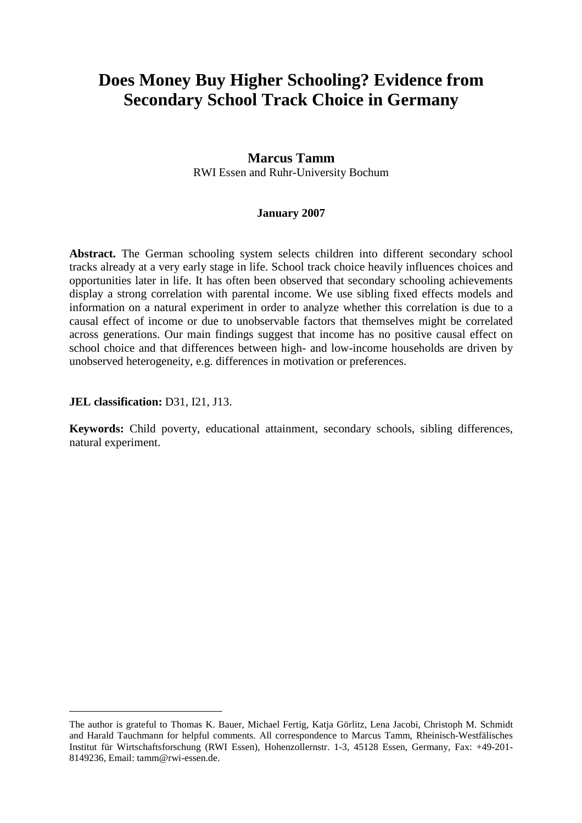# **Does Money Buy Higher Schooling? Evidence from Secondary School Track Choice in Germany**

### **Marcus Tamm**

RWI Essen and Ruhr-University Bochum

#### **January 2007**

Abstract. The German schooling system selects children into different secondary school tracks already at a very early stage in life. School track choice heavily influences choices and opportunities later in life. It has often been observed that secondary schooling achievements display a strong correlation with parental income. We use sibling fixed effects models and information on a natural experiment in order to analyze whether this correlation is due to a causal effect of income or due to unobservable factors that themselves might be correlated across generations. Our main findings suggest that income has no positive causal effect on school choice and that differences between high- and low-income households are driven by unobserved heterogeneity, e.g. differences in motivation or preferences.

#### **JEL classification:** D31, I21, J13.

**Keywords:** Child poverty, educational attainment, secondary schools, sibling differences, natural experiment.

The author is grateful to Thomas K. Bauer, Michael Fertig, Katja Görlitz, Lena Jacobi, Christoph M. Schmidt and Harald Tauchmann for helpful comments. All correspondence to Marcus Tamm, Rheinisch-Westfälisches Institut für Wirtschaftsforschung (RWI Essen), Hohenzollernstr. 1-3, 45128 Essen, Germany, Fax: +49-201- 8149236, Email: tamm@rwi-essen.de.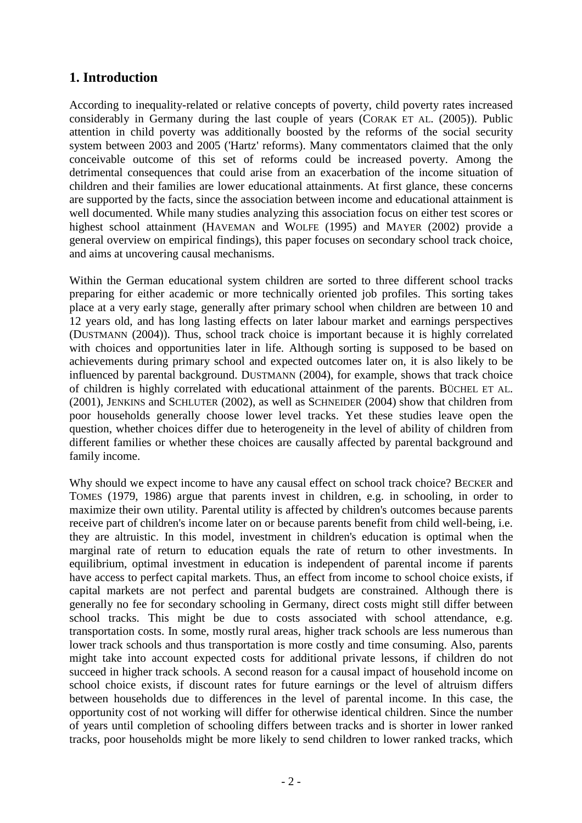# **1. Introduction**

According to inequality-related or relative concepts of poverty, child poverty rates increased considerably in Germany during the last couple of years (CORAK ET AL. (2005)). Public attention in child poverty was additionally boosted by the reforms of the social security system between 2003 and 2005 ('Hartz' reforms). Many commentators claimed that the only conceivable outcome of this set of reforms could be increased poverty. Among the detrimental consequences that could arise from an exacerbation of the income situation of children and their families are lower educational attainments. At first glance, these concerns are supported by the facts, since the association between income and educational attainment is well documented. While many studies analyzing this association focus on either test scores or highest school attainment (HAVEMAN and WOLFE (1995) and MAYER (2002) provide a general overview on empirical findings), this paper focuses on secondary school track choice, and aims at uncovering causal mechanisms.

Within the German educational system children are sorted to three different school tracks preparing for either academic or more technically oriented job profiles. This sorting takes place at a very early stage, generally after primary school when children are between 10 and 12 years old, and has long lasting effects on later labour market and earnings perspectives (DUSTMANN (2004)). Thus, school track choice is important because it is highly correlated with choices and opportunities later in life. Although sorting is supposed to be based on achievements during primary school and expected outcomes later on, it is also likely to be influenced by parental background. DUSTMANN (2004), for example, shows that track choice of children is highly correlated with educational attainment of the parents. BÜCHEL ET AL. (2001), JENKINS and SCHLUTER (2002), as well as SCHNEIDER (2004) show that children from poor households generally choose lower level tracks. Yet these studies leave open the question, whether choices differ due to heterogeneity in the level of ability of children from different families or whether these choices are causally affected by parental background and family income.

Why should we expect income to have any causal effect on school track choice? BECKER and TOMES (1979, 1986) argue that parents invest in children, e.g. in schooling, in order to maximize their own utility. Parental utility is affected by children's outcomes because parents receive part of children's income later on or because parents benefit from child well-being, i.e. they are altruistic. In this model, investment in children's education is optimal when the marginal rate of return to education equals the rate of return to other investments. In equilibrium, optimal investment in education is independent of parental income if parents have access to perfect capital markets. Thus, an effect from income to school choice exists, if capital markets are not perfect and parental budgets are constrained. Although there is generally no fee for secondary schooling in Germany, direct costs might still differ between school tracks. This might be due to costs associated with school attendance, e.g. transportation costs. In some, mostly rural areas, higher track schools are less numerous than lower track schools and thus transportation is more costly and time consuming. Also, parents might take into account expected costs for additional private lessons, if children do not succeed in higher track schools. A second reason for a causal impact of household income on school choice exists, if discount rates for future earnings or the level of altruism differs between households due to differences in the level of parental income. In this case, the opportunity cost of not working will differ for otherwise identical children. Since the number of years until completion of schooling differs between tracks and is shorter in lower ranked tracks, poor households might be more likely to send children to lower ranked tracks, which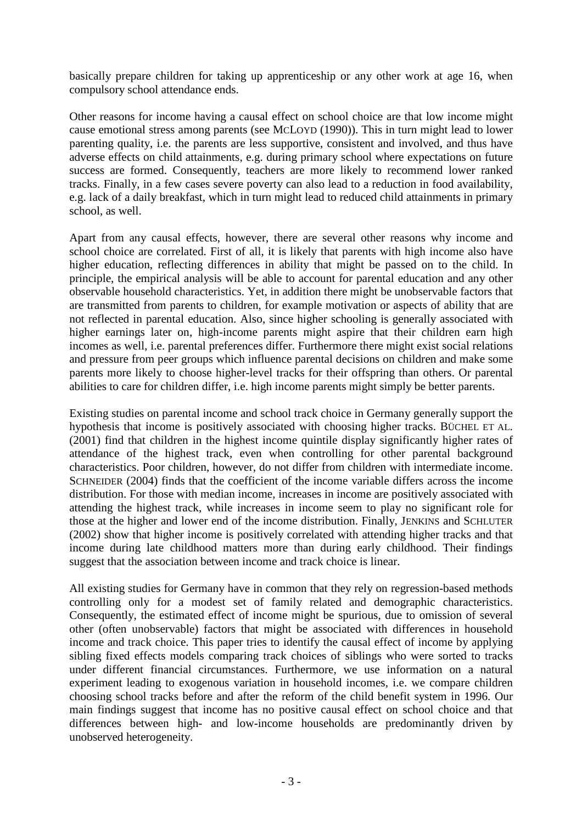basically prepare children for taking up apprenticeship or any other work at age 16, when compulsory school attendance ends.

Other reasons for income having a causal effect on school choice are that low income might cause emotional stress among parents (see MCLOYD (1990)). This in turn might lead to lower parenting quality, i.e. the parents are less supportive, consistent and involved, and thus have adverse effects on child attainments, e.g. during primary school where expectations on future success are formed. Consequently, teachers are more likely to recommend lower ranked tracks. Finally, in a few cases severe poverty can also lead to a reduction in food availability, e.g. lack of a daily breakfast, which in turn might lead to reduced child attainments in primary school, as well.

Apart from any causal effects, however, there are several other reasons why income and school choice are correlated. First of all, it is likely that parents with high income also have higher education, reflecting differences in ability that might be passed on to the child. In principle, the empirical analysis will be able to account for parental education and any other observable household characteristics. Yet, in addition there might be unobservable factors that are transmitted from parents to children, for example motivation or aspects of ability that are not reflected in parental education. Also, since higher schooling is generally associated with higher earnings later on, high-income parents might aspire that their children earn high incomes as well, i.e. parental preferences differ. Furthermore there might exist social relations and pressure from peer groups which influence parental decisions on children and make some parents more likely to choose higher-level tracks for their offspring than others. Or parental abilities to care for children differ, i.e. high income parents might simply be better parents.

Existing studies on parental income and school track choice in Germany generally support the hypothesis that income is positively associated with choosing higher tracks. BÜCHEL ET AL. (2001) find that children in the highest income quintile display significantly higher rates of attendance of the highest track, even when controlling for other parental background characteristics. Poor children, however, do not differ from children with intermediate income. SCHNEIDER (2004) finds that the coefficient of the income variable differs across the income distribution. For those with median income, increases in income are positively associated with attending the highest track, while increases in income seem to play no significant role for those at the higher and lower end of the income distribution. Finally, JENKINS and SCHLUTER (2002) show that higher income is positively correlated with attending higher tracks and that income during late childhood matters more than during early childhood. Their findings suggest that the association between income and track choice is linear.

All existing studies for Germany have in common that they rely on regression-based methods controlling only for a modest set of family related and demographic characteristics. Consequently, the estimated effect of income might be spurious, due to omission of several other (often unobservable) factors that might be associated with differences in household income and track choice. This paper tries to identify the causal effect of income by applying sibling fixed effects models comparing track choices of siblings who were sorted to tracks under different financial circumstances. Furthermore, we use information on a natural experiment leading to exogenous variation in household incomes, i.e. we compare children choosing school tracks before and after the reform of the child benefit system in 1996. Our main findings suggest that income has no positive causal effect on school choice and that differences between high- and low-income households are predominantly driven by unobserved heterogeneity.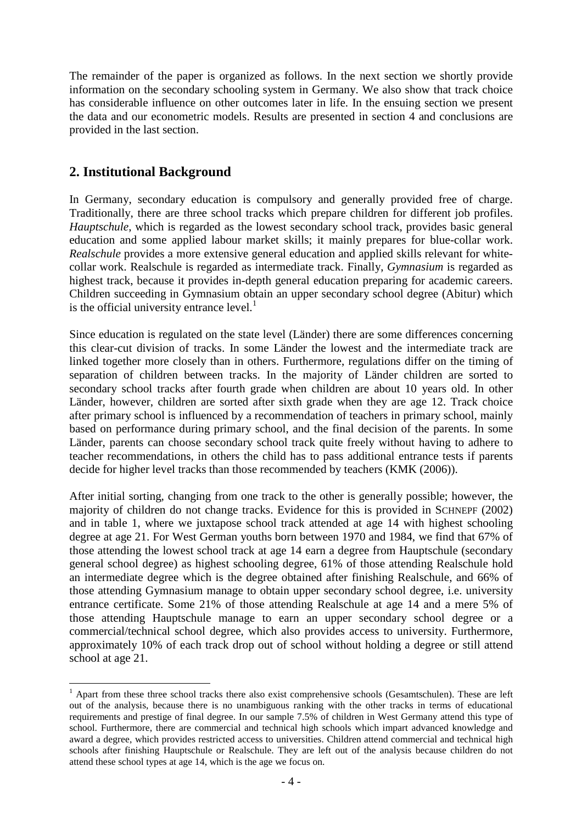The remainder of the paper is organized as follows. In the next section we shortly provide information on the secondary schooling system in Germany. We also show that track choice has considerable influence on other outcomes later in life. In the ensuing section we present the data and our econometric models. Results are presented in section 4 and conclusions are provided in the last section.

# **2. Institutional Background**

 $\overline{a}$ 

In Germany, secondary education is compulsory and generally provided free of charge. Traditionally, there are three school tracks which prepare children for different job profiles. *Hauptschule*, which is regarded as the lowest secondary school track, provides basic general education and some applied labour market skills; it mainly prepares for blue-collar work. *Realschule* provides a more extensive general education and applied skills relevant for whitecollar work. Realschule is regarded as intermediate track. Finally, *Gymnasium* is regarded as highest track, because it provides in-depth general education preparing for academic careers. Children succeeding in Gymnasium obtain an upper secondary school degree (Abitur) which is the official university entrance level. $<sup>1</sup>$ </sup>

Since education is regulated on the state level (Länder) there are some differences concerning this clear-cut division of tracks. In some Länder the lowest and the intermediate track are linked together more closely than in others. Furthermore, regulations differ on the timing of separation of children between tracks. In the majority of Länder children are sorted to secondary school tracks after fourth grade when children are about 10 years old. In other Länder, however, children are sorted after sixth grade when they are age 12. Track choice after primary school is influenced by a recommendation of teachers in primary school, mainly based on performance during primary school, and the final decision of the parents. In some Länder, parents can choose secondary school track quite freely without having to adhere to teacher recommendations, in others the child has to pass additional entrance tests if parents decide for higher level tracks than those recommended by teachers (KMK (2006)).

After initial sorting, changing from one track to the other is generally possible; however, the majority of children do not change tracks. Evidence for this is provided in SCHNEPF (2002) and in table 1, where we juxtapose school track attended at age 14 with highest schooling degree at age 21. For West German youths born between 1970 and 1984, we find that 67% of those attending the lowest school track at age 14 earn a degree from Hauptschule (secondary general school degree) as highest schooling degree, 61% of those attending Realschule hold an intermediate degree which is the degree obtained after finishing Realschule, and 66% of those attending Gymnasium manage to obtain upper secondary school degree, i.e. university entrance certificate. Some 21% of those attending Realschule at age 14 and a mere 5% of those attending Hauptschule manage to earn an upper secondary school degree or a commercial/technical school degree, which also provides access to university. Furthermore, approximately 10% of each track drop out of school without holding a degree or still attend school at age 21.

<sup>&</sup>lt;sup>1</sup> Apart from these three school tracks there also exist comprehensive schools (Gesamtschulen). These are left out of the analysis, because there is no unambiguous ranking with the other tracks in terms of educational requirements and prestige of final degree. In our sample 7.5% of children in West Germany attend this type of school. Furthermore, there are commercial and technical high schools which impart advanced knowledge and award a degree, which provides restricted access to universities. Children attend commercial and technical high schools after finishing Hauptschule or Realschule. They are left out of the analysis because children do not attend these school types at age 14, which is the age we focus on.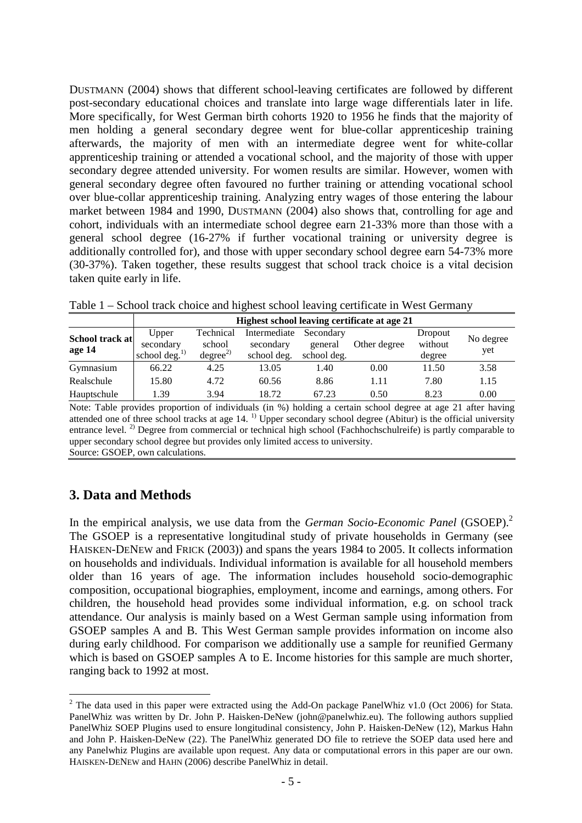DUSTMANN (2004) shows that different school-leaving certificates are followed by different post-secondary educational choices and translate into large wage differentials later in life. More specifically, for West German birth cohorts 1920 to 1956 he finds that the majority of men holding a general secondary degree went for blue-collar apprenticeship training afterwards, the majority of men with an intermediate degree went for white-collar apprenticeship training or attended a vocational school, and the majority of those with upper secondary degree attended university. For women results are similar. However, women with general secondary degree often favoured no further training or attending vocational school over blue-collar apprenticeship training. Analyzing entry wages of those entering the labour market between 1984 and 1990, DUSTMANN (2004) also shows that, controlling for age and cohort, individuals with an intermediate school degree earn 21-33% more than those with a general school degree (16-27% if further vocational training or university degree is additionally controlled for), and those with upper secondary school degree earn 54-73% more (30-37%). Taken together, these results suggest that school track choice is a vital decision taken quite early in life.

|                           |                                           | Highest school leaving certificate at age 21 |                                          |                                     |              |                              |                  |  |  |  |  |  |  |
|---------------------------|-------------------------------------------|----------------------------------------------|------------------------------------------|-------------------------------------|--------------|------------------------------|------------------|--|--|--|--|--|--|
| School track at<br>age 14 | Upper<br>secondary<br>school deg. $^{1)}$ | Technical<br>school<br>degree <sup>2</sup>   | Intermediate<br>secondary<br>school deg. | Secondary<br>general<br>school deg. | Other degree | Dropout<br>without<br>degree | No degree<br>yet |  |  |  |  |  |  |
| Gymnasium                 | 66.22                                     | 4.25                                         | 13.05                                    | 1.40                                | 0.00         | 11.50                        | 3.58             |  |  |  |  |  |  |
| Realschule                | 15.80                                     | 4.72                                         | 60.56                                    | 8.86                                | 1.11         | 7.80                         | 1.15             |  |  |  |  |  |  |
| Hauptschule               | 1.39                                      | 3.94                                         | 18.72                                    | 67.23                               | 0.50         | 8.23                         | 0.00             |  |  |  |  |  |  |

Table 1 – School track choice and highest school leaving certificate in West Germany

Note: Table provides proportion of individuals (in %) holding a certain school degree at age 21 after having attended one of three school tracks at age 14. <sup>1)</sup> Upper secondary school degree (Abitur) is the official university entrance level. 2) Degree from commercial or technical high school (Fachhochschulreife) is partly comparable to upper secondary school degree but provides only limited access to university. Source: GSOEP, own calculations.

# **3. Data and Methods**

In the empirical analysis, we use data from the *German Socio-Economic Panel* (GSOEP).<sup>2</sup> The GSOEP is a representative longitudinal study of private households in Germany (see HAISKEN-DENEW and FRICK (2003)) and spans the years 1984 to 2005. It collects information on households and individuals. Individual information is available for all household members older than 16 years of age. The information includes household socio-demographic composition, occupational biographies, employment, income and earnings, among others. For children, the household head provides some individual information, e.g. on school track attendance. Our analysis is mainly based on a West German sample using information from GSOEP samples A and B. This West German sample provides information on income also during early childhood. For comparison we additionally use a sample for reunified Germany which is based on GSOEP samples A to E. Income histories for this sample are much shorter, ranging back to 1992 at most.

<sup>&</sup>lt;sup>2</sup> The data used in this paper were extracted using the Add-On package PanelWhiz v1.0 (Oct 2006) for Stata. PanelWhiz was written by Dr. John P. Haisken-DeNew (john@panelwhiz.eu). The following authors supplied PanelWhiz SOEP Plugins used to ensure longitudinal consistency, John P. Haisken-DeNew (12), Markus Hahn and John P. Haisken-DeNew (22). The PanelWhiz generated DO file to retrieve the SOEP data used here and any Panelwhiz Plugins are available upon request. Any data or computational errors in this paper are our own. HAISKEN-DENEW and HAHN (2006) describe PanelWhiz in detail.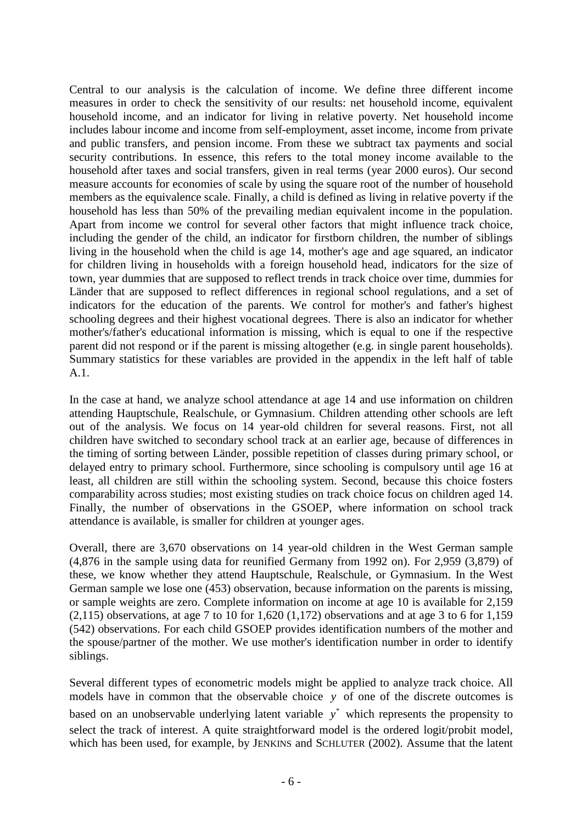Central to our analysis is the calculation of income. We define three different income measures in order to check the sensitivity of our results: net household income, equivalent household income, and an indicator for living in relative poverty. Net household income includes labour income and income from self-employment, asset income, income from private and public transfers, and pension income. From these we subtract tax payments and social security contributions. In essence, this refers to the total money income available to the household after taxes and social transfers, given in real terms (year 2000 euros). Our second measure accounts for economies of scale by using the square root of the number of household members as the equivalence scale. Finally, a child is defined as living in relative poverty if the household has less than 50% of the prevailing median equivalent income in the population. Apart from income we control for several other factors that might influence track choice, including the gender of the child, an indicator for firstborn children, the number of siblings living in the household when the child is age 14, mother's age and age squared, an indicator for children living in households with a foreign household head, indicators for the size of town, year dummies that are supposed to reflect trends in track choice over time, dummies for Länder that are supposed to reflect differences in regional school regulations, and a set of indicators for the education of the parents. We control for mother's and father's highest schooling degrees and their highest vocational degrees. There is also an indicator for whether mother's/father's educational information is missing, which is equal to one if the respective parent did not respond or if the parent is missing altogether (e.g. in single parent households). Summary statistics for these variables are provided in the appendix in the left half of table A.1.

In the case at hand, we analyze school attendance at age 14 and use information on children attending Hauptschule, Realschule, or Gymnasium. Children attending other schools are left out of the analysis. We focus on 14 year-old children for several reasons. First, not all children have switched to secondary school track at an earlier age, because of differences in the timing of sorting between Länder, possible repetition of classes during primary school, or delayed entry to primary school. Furthermore, since schooling is compulsory until age 16 at least, all children are still within the schooling system. Second, because this choice fosters comparability across studies; most existing studies on track choice focus on children aged 14. Finally, the number of observations in the GSOEP, where information on school track attendance is available, is smaller for children at younger ages.

Overall, there are 3,670 observations on 14 year-old children in the West German sample (4,876 in the sample using data for reunified Germany from 1992 on). For 2,959 (3,879) of these, we know whether they attend Hauptschule, Realschule, or Gymnasium. In the West German sample we lose one (453) observation, because information on the parents is missing, or sample weights are zero. Complete information on income at age 10 is available for 2,159  $(2,115)$  observations, at age 7 to 10 for 1,620 (1,172) observations and at age 3 to 6 for 1,159 (542) observations. For each child GSOEP provides identification numbers of the mother and the spouse/partner of the mother. We use mother's identification number in order to identify siblings.

Several different types of econometric models might be applied to analyze track choice. All models have in common that the observable choice *y* of one of the discrete outcomes is based on an unobservable underlying latent variable  $y^*$  which represents the propensity to select the track of interest. A quite straightforward model is the ordered logit/probit model, which has been used, for example, by JENKINS and SCHLUTER (2002). Assume that the latent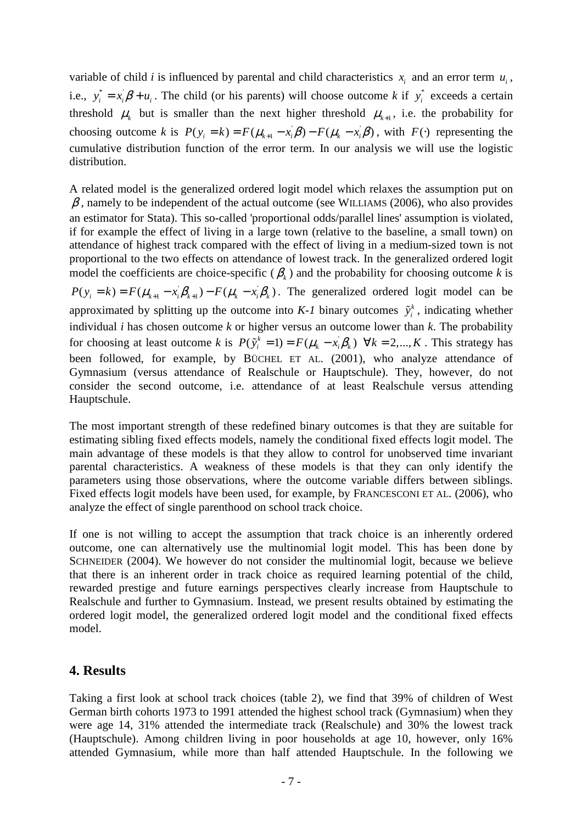variable of child *i* is influenced by parental and child characteristics  $x_i$  and an error term  $u_i$ , i.e.,  $y_i^* = x_i \beta + u_i$ . The child (or his parents) will choose outcome *k* if  $y_i^*$  exceeds a certain threshold  $\mu_k$  but is smaller than the next higher threshold  $\mu_{k+1}$ , i.e. the probability for choosing outcome *k* is  $P(y_i = k) = F(\mu_{k+1} - x_i \beta) - F(\mu_k - x_i \beta)$ , with  $F(\cdot)$  representing the cumulative distribution function of the error term. In our analysis we will use the logistic distribution.

A related model is the generalized ordered logit model which relaxes the assumption put on  $\beta$ , namely to be independent of the actual outcome (see WILLIAMS (2006), who also provides an estimator for Stata). This so-called 'proportional odds/parallel lines' assumption is violated, if for example the effect of living in a large town (relative to the baseline, a small town) on attendance of highest track compared with the effect of living in a medium-sized town is not proportional to the two effects on attendance of lowest track. In the generalized ordered logit model the coefficients are choice-specific  $(\beta_k)$  and the probability for choosing outcome k is  $P(y_i = k) = F(\mu_{k+1} - x_i \beta_{k+1}) - F(\mu_k - x_i \beta_k)$ . The generalized ordered logit model can be approximated by splitting up the outcome into *K-1* binary outcomes  $\tilde{y}_i^k$ , indicating whether individual *i* has chosen outcome *k* or higher versus an outcome lower than *k*. The probability for choosing at least outcome *k* is  $P(\tilde{y}_i^k = 1) = F(\mu_k - x_i^j \beta_k) \quad \forall k = 2, ..., K$ . This strategy has been followed, for example, by BÜCHEL ET AL. (2001), who analyze attendance of Gymnasium (versus attendance of Realschule or Hauptschule). They, however, do not consider the second outcome, i.e. attendance of at least Realschule versus attending Hauptschule.

The most important strength of these redefined binary outcomes is that they are suitable for estimating sibling fixed effects models, namely the conditional fixed effects logit model. The main advantage of these models is that they allow to control for unobserved time invariant parental characteristics. A weakness of these models is that they can only identify the parameters using those observations, where the outcome variable differs between siblings. Fixed effects logit models have been used, for example, by FRANCESCONI ET AL. (2006), who analyze the effect of single parenthood on school track choice.

If one is not willing to accept the assumption that track choice is an inherently ordered outcome, one can alternatively use the multinomial logit model. This has been done by SCHNEIDER (2004). We however do not consider the multinomial logit, because we believe that there is an inherent order in track choice as required learning potential of the child, rewarded prestige and future earnings perspectives clearly increase from Hauptschule to Realschule and further to Gymnasium. Instead, we present results obtained by estimating the ordered logit model, the generalized ordered logit model and the conditional fixed effects model.

## **4. Results**

Taking a first look at school track choices (table 2), we find that 39% of children of West German birth cohorts 1973 to 1991 attended the highest school track (Gymnasium) when they were age 14, 31% attended the intermediate track (Realschule) and 30% the lowest track (Hauptschule). Among children living in poor households at age 10, however, only 16% attended Gymnasium, while more than half attended Hauptschule. In the following we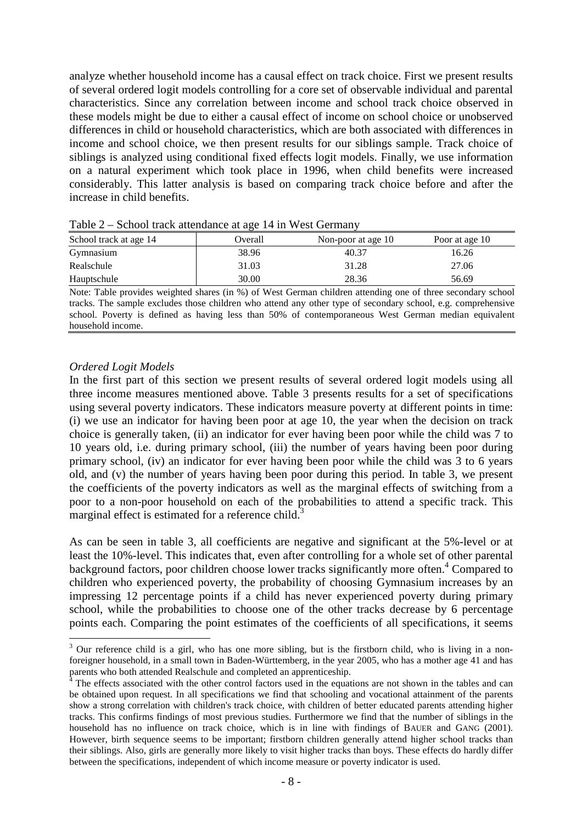analyze whether household income has a causal effect on track choice. First we present results of several ordered logit models controlling for a core set of observable individual and parental characteristics. Since any correlation between income and school track choice observed in these models might be due to either a causal effect of income on school choice or unobserved differences in child or household characteristics, which are both associated with differences in income and school choice, we then present results for our siblings sample. Track choice of siblings is analyzed using conditional fixed effects logit models. Finally, we use information on a natural experiment which took place in 1996, when child benefits were increased considerably. This latter analysis is based on comparing track choice before and after the increase in child benefits.

| School track at age 14 | Overall | Non-poor at age 10 | Poor at age 10 |  |  |  |  |  |  |  |  |
|------------------------|---------|--------------------|----------------|--|--|--|--|--|--|--|--|
| Gymnasium              | 38.96   | 40.37              | 16.26          |  |  |  |  |  |  |  |  |
| Realschule             | 31.03   | 31.28              | 27.06          |  |  |  |  |  |  |  |  |
| Hauptschule            | 30.00   | 28.36              | 56.69          |  |  |  |  |  |  |  |  |

Table 2 – School track attendance at age 14 in West Germany

Note: Table provides weighted shares (in %) of West German children attending one of three secondary school tracks. The sample excludes those children who attend any other type of secondary school, e.g. comprehensive school. Poverty is defined as having less than 50% of contemporaneous West German median equivalent household income.

### *Ordered Logit Models*

In the first part of this section we present results of several ordered logit models using all three income measures mentioned above. Table 3 presents results for a set of specifications using several poverty indicators. These indicators measure poverty at different points in time: (i) we use an indicator for having been poor at age 10, the year when the decision on track choice is generally taken, (ii) an indicator for ever having been poor while the child was 7 to 10 years old, i.e. during primary school, (iii) the number of years having been poor during primary school, (iv) an indicator for ever having been poor while the child was 3 to 6 years old, and (v) the number of years having been poor during this period. In table 3, we present the coefficients of the poverty indicators as well as the marginal effects of switching from a poor to a non-poor household on each of the probabilities to attend a specific track. This marginal effect is estimated for a reference child.<sup>3</sup>

As can be seen in table 3, all coefficients are negative and significant at the 5%-level or at least the 10%-level. This indicates that, even after controlling for a whole set of other parental background factors, poor children choose lower tracks significantly more often.<sup>4</sup> Compared to children who experienced poverty, the probability of choosing Gymnasium increases by an impressing 12 percentage points if a child has never experienced poverty during primary school, while the probabilities to choose one of the other tracks decrease by 6 percentage points each. Comparing the point estimates of the coefficients of all specifications, it seems

 $\overline{a}$  $3$  Our reference child is a girl, who has one more sibling, but is the firstborn child, who is living in a nonforeigner household, in a small town in Baden-Württemberg, in the year 2005, who has a mother age 41 and has parents who both attended Realschule and completed an apprenticeship.

 $4 \text{ The effects associated with the other control factors used in the equations are not shown in the tables and can$ be obtained upon request. In all specifications we find that schooling and vocational attainment of the parents show a strong correlation with children's track choice, with children of better educated parents attending higher tracks. This confirms findings of most previous studies. Furthermore we find that the number of siblings in the household has no influence on track choice, which is in line with findings of BAUER and GANG (2001). However, birth sequence seems to be important; firstborn children generally attend higher school tracks than their siblings. Also, girls are generally more likely to visit higher tracks than boys. These effects do hardly differ between the specifications, independent of which income measure or poverty indicator is used.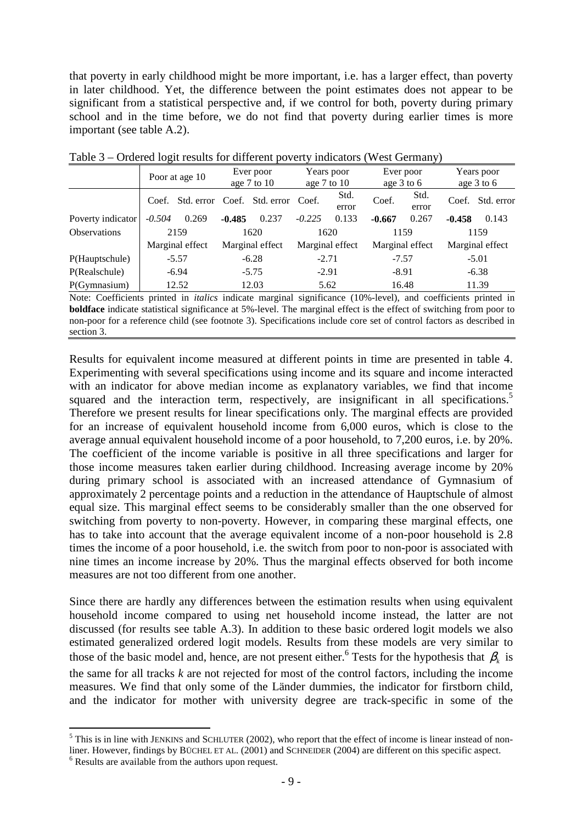that poverty in early childhood might be more important, i.e. has a larger effect, than poverty in later childhood. Yet, the difference between the point estimates does not appear to be significant from a statistical perspective and, if we control for both, poverty during primary school and in the time before, we do not find that poverty during earlier times is more important (see table A.2).

|                     |          | Poor at age 10                          |                 | Ever poor<br>age $7$ to $10$ |                 | Years poor<br>age $7$ to $10$ | Ever poor<br>age $3$ to $6$ |               |          | Years poor<br>age $3$ to $6$ |  |
|---------------------|----------|-----------------------------------------|-----------------|------------------------------|-----------------|-------------------------------|-----------------------------|---------------|----------|------------------------------|--|
|                     |          | Coef. Std. error Coef. Std. error Coef. |                 |                              |                 | Std.<br>error                 | Coef.                       | Std.<br>error |          | Coef. Std. error             |  |
| Poverty indicator   | $-0.504$ | 0.269                                   | $-0.485$        | 0.237                        | $-0.225$        | 0.133                         | $-0.667$                    | 0.267         | $-0.458$ | 0.143                        |  |
| <b>Observations</b> |          | 2159                                    | 1620            |                              | 1620            |                               |                             | 1159          |          | 1159                         |  |
|                     |          | Marginal effect                         | Marginal effect |                              | Marginal effect |                               | Marginal effect             |               |          | Marginal effect              |  |
| P(Hauptschule)      |          | $-5.57$                                 |                 | $-6.28$                      |                 | $-2.71$                       |                             | $-7.57$       |          | $-5.01$                      |  |
| P(Realschule)       |          | $-6.94$                                 | $-5.75$         |                              | $-2.91$         |                               | $-8.91$                     |               | $-6.38$  |                              |  |
| P(Gymnasium)        |          | 12.52                                   |                 | 12.03                        |                 | 5.62                          | 16.48                       |               | 11.39    |                              |  |

Table 3 – Ordered logit results for different poverty indicators (West Germany)

Note: Coefficients printed in *italics* indicate marginal significance (10%-level), and coefficients printed in **boldface** indicate statistical significance at 5%-level. The marginal effect is the effect of switching from poor to non-poor for a reference child (see footnote 3). Specifications include core set of control factors as described in section 3.

Results for equivalent income measured at different points in time are presented in table 4. Experimenting with several specifications using income and its square and income interacted with an indicator for above median income as explanatory variables, we find that income squared and the interaction term, respectively, are insignificant in all specifications.<sup>5</sup> Therefore we present results for linear specifications only. The marginal effects are provided for an increase of equivalent household income from 6,000 euros, which is close to the average annual equivalent household income of a poor household, to 7,200 euros, i.e. by 20%. The coefficient of the income variable is positive in all three specifications and larger for those income measures taken earlier during childhood. Increasing average income by 20% during primary school is associated with an increased attendance of Gymnasium of approximately 2 percentage points and a reduction in the attendance of Hauptschule of almost equal size. This marginal effect seems to be considerably smaller than the one observed for switching from poverty to non-poverty. However, in comparing these marginal effects, one has to take into account that the average equivalent income of a non-poor household is 2.8 times the income of a poor household, i.e. the switch from poor to non-poor is associated with nine times an income increase by 20%. Thus the marginal effects observed for both income measures are not too different from one another.

Since there are hardly any differences between the estimation results when using equivalent household income compared to using net household income instead, the latter are not discussed (for results see table A.3). In addition to these basic ordered logit models we also estimated generalized ordered logit models. Results from these models are very similar to those of the basic model and, hence, are not present either.<sup>6</sup> Tests for the hypothesis that  $\beta_k$  is the same for all tracks *k* are not rejected for most of the control factors, including the income measures. We find that only some of the Länder dummies, the indicator for firstborn child, and the indicator for mother with university degree are track-specific in some of the

<sup>&</sup>lt;sup>5</sup> This is in line with JENKINS and SCHLUTER (2002), who report that the effect of income is linear instead of non-

liner. However, findings by BÜCHEL ET AL. (2001) and SCHNEIDER (2004) are different on this specific aspect.

<sup>&</sup>lt;sup>6</sup> Results are available from the authors upon request.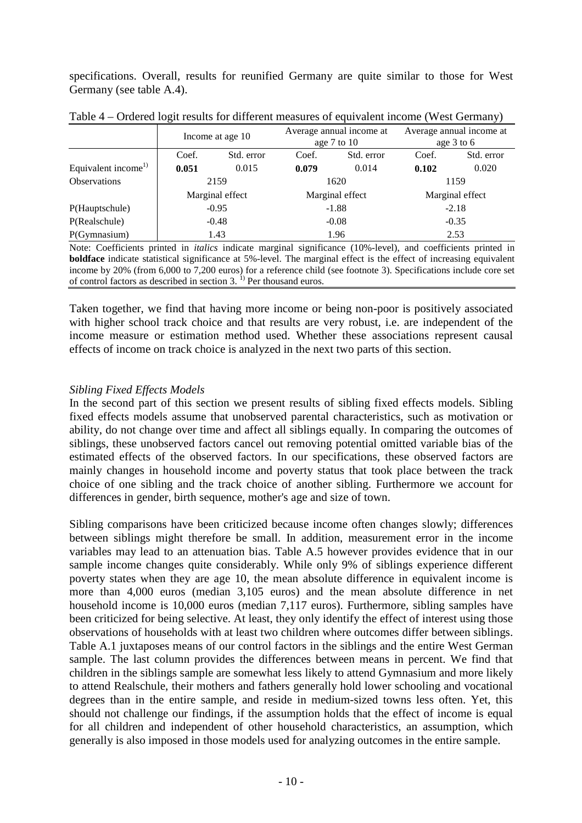specifications. Overall, results for reunified Germany are quite similar to those for West Germany (see table A.4).

|                                 | Income at age 10 |                 |       | Average annual income at<br>age $7$ to $10$ | Average annual income at<br>age $3$ to $6$ |                 |
|---------------------------------|------------------|-----------------|-------|---------------------------------------------|--------------------------------------------|-----------------|
|                                 | Coef.            | Std. error      |       | Std. error<br>Coef.                         |                                            | Std. error      |
| Equivalent income <sup>1)</sup> | 0.051            | 0.015           | 0.079 | 0.014                                       | 0.102                                      | 0.020           |
| <b>Observations</b>             | 2159             |                 |       | 1620                                        |                                            | 1159            |
|                                 |                  | Marginal effect |       | Marginal effect                             |                                            | Marginal effect |
| P(Hauptschule)                  |                  | $-0.95$         |       | $-1.88$                                     |                                            | $-2.18$         |
| P(Realschule)                   | $-0.48$          |                 |       | $-0.08$                                     | $-0.35$                                    |                 |
| P(Gymnasium)                    |                  | 1.43            |       | 1.96                                        |                                            | 2.53            |

Table 4 – Ordered logit results for different measures of equivalent income (West Germany)

Note: Coefficients printed in *italics* indicate marginal significance (10%-level), and coefficients printed in **boldface** indicate statistical significance at 5%-level. The marginal effect is the effect of increasing equivalent income by 20% (from 6,000 to 7,200 euros) for a reference child (see footnote 3). Specifications include core set of control factors as described in section  $3<sup>1</sup>$  Per thousand euros.

Taken together, we find that having more income or being non-poor is positively associated with higher school track choice and that results are very robust, i.e. are independent of the income measure or estimation method used. Whether these associations represent causal effects of income on track choice is analyzed in the next two parts of this section.

### *Sibling Fixed Effects Models*

In the second part of this section we present results of sibling fixed effects models. Sibling fixed effects models assume that unobserved parental characteristics, such as motivation or ability, do not change over time and affect all siblings equally. In comparing the outcomes of siblings, these unobserved factors cancel out removing potential omitted variable bias of the estimated effects of the observed factors. In our specifications, these observed factors are mainly changes in household income and poverty status that took place between the track choice of one sibling and the track choice of another sibling. Furthermore we account for differences in gender, birth sequence, mother's age and size of town.

Sibling comparisons have been criticized because income often changes slowly; differences between siblings might therefore be small. In addition, measurement error in the income variables may lead to an attenuation bias. Table A.5 however provides evidence that in our sample income changes quite considerably. While only 9% of siblings experience different poverty states when they are age 10, the mean absolute difference in equivalent income is more than 4,000 euros (median 3,105 euros) and the mean absolute difference in net household income is 10,000 euros (median 7,117 euros). Furthermore, sibling samples have been criticized for being selective. At least, they only identify the effect of interest using those observations of households with at least two children where outcomes differ between siblings. Table A.1 juxtaposes means of our control factors in the siblings and the entire West German sample. The last column provides the differences between means in percent. We find that children in the siblings sample are somewhat less likely to attend Gymnasium and more likely to attend Realschule, their mothers and fathers generally hold lower schooling and vocational degrees than in the entire sample, and reside in medium-sized towns less often. Yet, this should not challenge our findings, if the assumption holds that the effect of income is equal for all children and independent of other household characteristics, an assumption, which generally is also imposed in those models used for analyzing outcomes in the entire sample.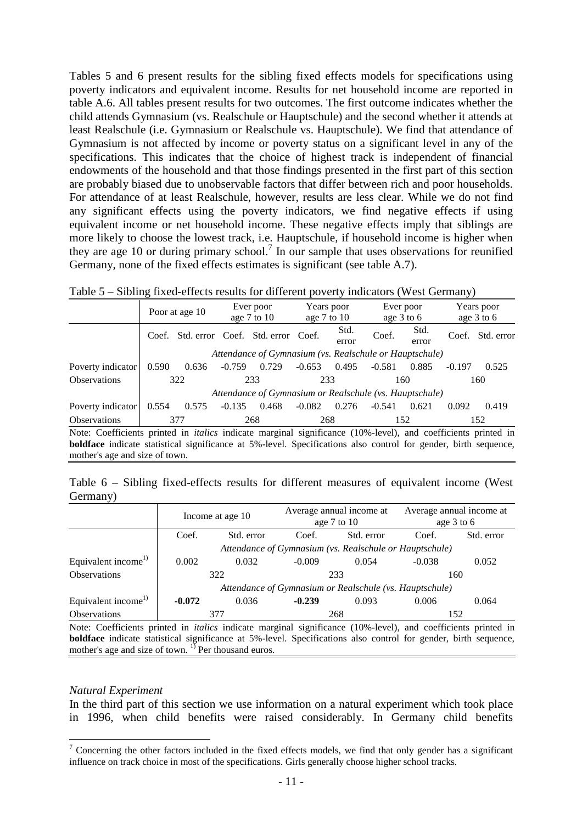Tables 5 and 6 present results for the sibling fixed effects models for specifications using poverty indicators and equivalent income. Results for net household income are reported in table A.6. All tables present results for two outcomes. The first outcome indicates whether the child attends Gymnasium (vs. Realschule or Hauptschule) and the second whether it attends at least Realschule (i.e. Gymnasium or Realschule vs. Hauptschule). We find that attendance of Gymnasium is not affected by income or poverty status on a significant level in any of the specifications. This indicates that the choice of highest track is independent of financial endowments of the household and that those findings presented in the first part of this section are probably biased due to unobservable factors that differ between rich and poor households. For attendance of at least Realschule, however, results are less clear. While we do not find any significant effects using the poverty indicators, we find negative effects if using equivalent income or net household income. These negative effects imply that siblings are more likely to choose the lowest track, i.e. Hauptschule, if household income is higher when they are age 10 or during primary school.<sup>7</sup> In our sample that uses observations for reunified Germany, none of the fixed effects estimates is significant (see table A.7).

| Table 5 - Sibling fixed-effects results for different poverty indicators (West Germany) |  |  |  |  |  |  |
|-----------------------------------------------------------------------------------------|--|--|--|--|--|--|
|                                                                                         |  |  |  |  |  |  |

|                     |       | Poor at age 10                          |          | Ever poor                                               |                                                         | Years poor      |          | Ever poor      | Years poor |                  |
|---------------------|-------|-----------------------------------------|----------|---------------------------------------------------------|---------------------------------------------------------|-----------------|----------|----------------|------------|------------------|
|                     |       |                                         |          | age $7$ to $10$                                         |                                                         | age $7$ to $10$ |          | age $3$ to $6$ |            | age $3$ to $6$   |
|                     |       | Coef. Std. error Coef. Std. error Coef. |          |                                                         |                                                         | Std.<br>error   | Coef.    | Std.<br>error  |            | Coef. Std. error |
|                     |       |                                         |          |                                                         | Attendance of Gymnasium (vs. Realschule or Hauptschule) |                 |          |                |            |                  |
| Poverty indicator   | 0.590 | 0.636                                   | $-0.759$ | 0.729                                                   | $-0.653$                                                | 0.495           | $-0.581$ | 0.885          | $-0.197$   | 0.525            |
| <b>Observations</b> |       | 322                                     |          | 233                                                     | 233                                                     |                 |          | 160            |            | 160              |
|                     |       |                                         |          | Attendance of Gymnasium or Realschule (vs. Hauptschule) |                                                         |                 |          |                |            |                  |
| Poverty indicator   | 0.554 | 0.575                                   | $-0.135$ | 0.468                                                   | $-0.082$                                                | 0.276           | $-0.541$ | 0.621          | 0.092      | 0.419            |
| <b>Observations</b> |       | 377                                     | 268      |                                                         | 268                                                     |                 | 152      |                |            | 152              |
|                     |       |                                         |          |                                                         |                                                         |                 |          |                |            |                  |

Note: Coefficients printed in *italics* indicate marginal significance (10%-level), and coefficients printed in **boldface** indicate statistical significance at 5%-level. Specifications also control for gender, birth sequence, mother's age and size of town.

Table 6 – Sibling fixed-effects results for different measures of equivalent income (West Germany)

|                                                                                                                     |                   | Income at age 10 |          | Average annual income at<br>age $7$ to $10$             |          | Average annual income at<br>age $3$ to $6$ |  |  |
|---------------------------------------------------------------------------------------------------------------------|-------------------|------------------|----------|---------------------------------------------------------|----------|--------------------------------------------|--|--|
|                                                                                                                     | Coef.             | Std. error       | Coef.    | Std. error                                              | Coef.    | Std. error                                 |  |  |
|                                                                                                                     |                   |                  |          | Attendance of Gymnasium (vs. Realschule or Hauptschule) |          |                                            |  |  |
| Equivalent income <sup>1)</sup>                                                                                     | 0.002             | 0.032            | $-0.009$ | 0.054                                                   | $-0.038$ | 0.052                                      |  |  |
| <b>Observations</b>                                                                                                 |                   | 322              |          | 233                                                     | 160      |                                            |  |  |
|                                                                                                                     |                   |                  |          | Attendance of Gymnasium or Realschule (vs. Hauptschule) |          |                                            |  |  |
| Equivalent income <sup>1)</sup>                                                                                     | $-0.072$          | 0.036            | $-0.239$ | 0.093                                                   | 0.006    | 0.064                                      |  |  |
| <b>Observations</b>                                                                                                 | 377<br>268<br>152 |                  |          |                                                         |          |                                            |  |  |
| Note: Coefficients printed in <i>italics</i> indicate marginal significance (10%-level) and coefficients printed in |                   |                  |          |                                                         |          |                                            |  |  |

Note: Coefficients printed in *italics* indicate marginal significance (10%-level), and coefficients printed in **boldface** indicate statistical significance at 5%-level. Specifications also control for gender, birth sequence, mother's age and size of town.  $^{1}$  Per thousand euros.

#### *Natural Experiment*

 $\overline{a}$ 

In the third part of this section we use information on a natural experiment which took place in 1996, when child benefits were raised considerably. In Germany child benefits

 $7$  Concerning the other factors included in the fixed effects models, we find that only gender has a significant influence on track choice in most of the specifications. Girls generally choose higher school tracks.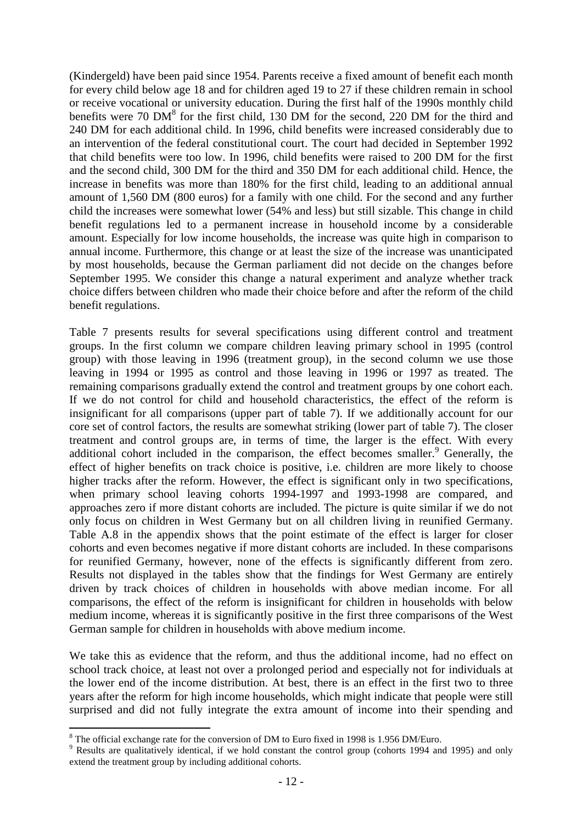(Kindergeld) have been paid since 1954. Parents receive a fixed amount of benefit each month for every child below age 18 and for children aged 19 to 27 if these children remain in school or receive vocational or university education. During the first half of the 1990s monthly child benefits were 70 DM<sup>8</sup> for the first child, 130 DM for the second, 220 DM for the third and 240 DM for each additional child. In 1996, child benefits were increased considerably due to an intervention of the federal constitutional court. The court had decided in September 1992 that child benefits were too low. In 1996, child benefits were raised to 200 DM for the first and the second child, 300 DM for the third and 350 DM for each additional child. Hence, the increase in benefits was more than 180% for the first child, leading to an additional annual amount of 1,560 DM (800 euros) for a family with one child. For the second and any further child the increases were somewhat lower (54% and less) but still sizable. This change in child benefit regulations led to a permanent increase in household income by a considerable amount. Especially for low income households, the increase was quite high in comparison to annual income. Furthermore, this change or at least the size of the increase was unanticipated by most households, because the German parliament did not decide on the changes before September 1995. We consider this change a natural experiment and analyze whether track choice differs between children who made their choice before and after the reform of the child benefit regulations.

Table 7 presents results for several specifications using different control and treatment groups. In the first column we compare children leaving primary school in 1995 (control group) with those leaving in 1996 (treatment group), in the second column we use those leaving in 1994 or 1995 as control and those leaving in 1996 or 1997 as treated. The remaining comparisons gradually extend the control and treatment groups by one cohort each. If we do not control for child and household characteristics, the effect of the reform is insignificant for all comparisons (upper part of table 7). If we additionally account for our core set of control factors, the results are somewhat striking (lower part of table 7). The closer treatment and control groups are, in terms of time, the larger is the effect. With every additional cohort included in the comparison, the effect becomes smaller.<sup>9</sup> Generally, the effect of higher benefits on track choice is positive, i.e. children are more likely to choose higher tracks after the reform. However, the effect is significant only in two specifications, when primary school leaving cohorts 1994-1997 and 1993-1998 are compared, and approaches zero if more distant cohorts are included. The picture is quite similar if we do not only focus on children in West Germany but on all children living in reunified Germany. Table A.8 in the appendix shows that the point estimate of the effect is larger for closer cohorts and even becomes negative if more distant cohorts are included. In these comparisons for reunified Germany, however, none of the effects is significantly different from zero. Results not displayed in the tables show that the findings for West Germany are entirely driven by track choices of children in households with above median income. For all comparisons, the effect of the reform is insignificant for children in households with below medium income, whereas it is significantly positive in the first three comparisons of the West German sample for children in households with above medium income.

We take this as evidence that the reform, and thus the additional income, had no effect on school track choice, at least not over a prolonged period and especially not for individuals at the lower end of the income distribution. At best, there is an effect in the first two to three years after the reform for high income households, which might indicate that people were still surprised and did not fully integrate the extra amount of income into their spending and

 $\overline{a}$  $8$  The official exchange rate for the conversion of DM to Euro fixed in 1998 is 1.956 DM/Euro.

<sup>&</sup>lt;sup>9</sup> Results are qualitatively identical, if we hold constant the control group (cohorts 1994 and 1995) and only extend the treatment group by including additional cohorts.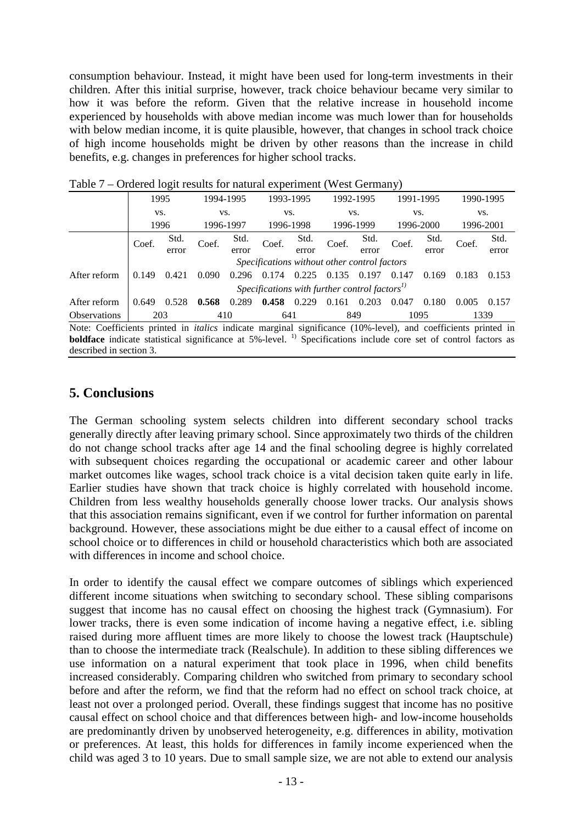consumption behaviour. Instead, it might have been used for long-term investments in their children. After this initial surprise, however, track choice behaviour became very similar to how it was before the reform. Given that the relative increase in household income experienced by households with above median income was much lower than for households with below median income, it is quite plausible, however, that changes in school track choice of high income households might be driven by other reasons than the increase in child benefits, e.g. changes in preferences for higher school tracks.

|                                                                                                             | 1995  |       |           | 1994-1995 | 1993-1995 |       | 1992-1995                                                 |           | 1991-1995 |           | 1990-1995 |           |  |
|-------------------------------------------------------------------------------------------------------------|-------|-------|-----------|-----------|-----------|-------|-----------------------------------------------------------|-----------|-----------|-----------|-----------|-----------|--|
|                                                                                                             |       | VS.   |           | VS.       |           | VS.   |                                                           | VS.       |           | VS.       | VS.       |           |  |
|                                                                                                             |       | 1996  | 1996-1997 |           | 1996-1998 |       |                                                           | 1996-1999 |           | 1996-2000 |           | 1996-2001 |  |
|                                                                                                             | Coef. | Std.  | Coef.     | Std.      | Coef.     | Std.  | Coef.                                                     | Std.      | Coef.     | Std.      | Coef.     | Std.      |  |
|                                                                                                             |       | error |           | error     |           | error |                                                           | error     |           | error     |           | error     |  |
|                                                                                                             |       |       |           |           |           |       | Specifications without other control factors              |           |           |           |           |           |  |
| After reform                                                                                                | 0.149 | 0.421 | 0.090     | 0.296     | 0.174     | 0.225 | 0.135                                                     | 0.197     | 0.147     | 0.169     | 0.183     | 0.153     |  |
|                                                                                                             |       |       |           |           |           |       | Specifications with further control factors <sup>1)</sup> |           |           |           |           |           |  |
| After reform                                                                                                | 0.649 | 0.528 | 0.568     | 0.289     | 0.458     | 0.229 | 0.161                                                     | 0.203     | 0.047     | 0.180     | 0.005     | 0.157     |  |
| <b>Observations</b>                                                                                         |       | 203   |           | 410       | 641       |       |                                                           | 849       |           | 1095      |           | 1339      |  |
| Matri Carfficiente mintrel in italiar indicate measured significance (100/ 11), and carfficiente mintred in |       |       |           |           |           |       |                                                           |           |           |           |           |           |  |

Table 7 – Ordered logit results for natural experiment (West Germany)

Note: Coefficients printed in *italics* indicate marginal significance (10%-level), and coefficients printed in **boldface** indicate statistical significance at 5%-level. <sup>1)</sup> Specifications include core set of control factors as described in section 3.

# **5. Conclusions**

The German schooling system selects children into different secondary school tracks generally directly after leaving primary school. Since approximately two thirds of the children do not change school tracks after age 14 and the final schooling degree is highly correlated with subsequent choices regarding the occupational or academic career and other labour market outcomes like wages, school track choice is a vital decision taken quite early in life. Earlier studies have shown that track choice is highly correlated with household income. Children from less wealthy households generally choose lower tracks. Our analysis shows that this association remains significant, even if we control for further information on parental background. However, these associations might be due either to a causal effect of income on school choice or to differences in child or household characteristics which both are associated with differences in income and school choice.

In order to identify the causal effect we compare outcomes of siblings which experienced different income situations when switching to secondary school. These sibling comparisons suggest that income has no causal effect on choosing the highest track (Gymnasium). For lower tracks, there is even some indication of income having a negative effect, i.e. sibling raised during more affluent times are more likely to choose the lowest track (Hauptschule) than to choose the intermediate track (Realschule). In addition to these sibling differences we use information on a natural experiment that took place in 1996, when child benefits increased considerably. Comparing children who switched from primary to secondary school before and after the reform, we find that the reform had no effect on school track choice, at least not over a prolonged period. Overall, these findings suggest that income has no positive causal effect on school choice and that differences between high- and low-income households are predominantly driven by unobserved heterogeneity, e.g. differences in ability, motivation or preferences. At least, this holds for differences in family income experienced when the child was aged 3 to 10 years. Due to small sample size, we are not able to extend our analysis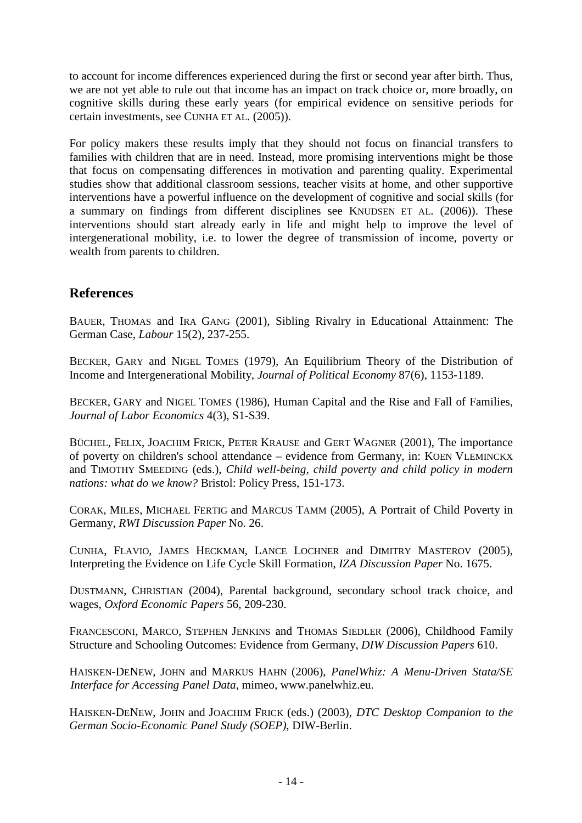to account for income differences experienced during the first or second year after birth. Thus, we are not yet able to rule out that income has an impact on track choice or, more broadly, on cognitive skills during these early years (for empirical evidence on sensitive periods for certain investments, see CUNHA ET AL. (2005)).

For policy makers these results imply that they should not focus on financial transfers to families with children that are in need. Instead, more promising interventions might be those that focus on compensating differences in motivation and parenting quality. Experimental studies show that additional classroom sessions, teacher visits at home, and other supportive interventions have a powerful influence on the development of cognitive and social skills (for a summary on findings from different disciplines see KNUDSEN ET AL. (2006)). These interventions should start already early in life and might help to improve the level of intergenerational mobility, i.e. to lower the degree of transmission of income, poverty or wealth from parents to children.

# **References**

BAUER, THOMAS and IRA GANG (2001), Sibling Rivalry in Educational Attainment: The German Case, *Labour* 15(2), 237-255.

BECKER, GARY and NIGEL TOMES (1979), An Equilibrium Theory of the Distribution of Income and Intergenerational Mobility, *Journal of Political Economy* 87(6), 1153-1189.

BECKER, GARY and NIGEL TOMES (1986), Human Capital and the Rise and Fall of Families, *Journal of Labor Economics* 4(3), S1-S39.

BÜCHEL, FELIX, JOACHIM FRICK, PETER KRAUSE and GERT WAGNER (2001), The importance of poverty on children's school attendance – evidence from Germany, in: KOEN VLEMINCKX and TIMOTHY SMEEDING (eds.), *Child well-being, child poverty and child policy in modern nations: what do we know?* Bristol: Policy Press, 151-173.

CORAK, MILES, MICHAEL FERTIG and MARCUS TAMM (2005), A Portrait of Child Poverty in Germany, *RWI Discussion Paper* No. 26.

CUNHA, FLAVIO, JAMES HECKMAN, LANCE LOCHNER and DIMITRY MASTEROV (2005), Interpreting the Evidence on Life Cycle Skill Formation, *IZA Discussion Paper* No. 1675.

DUSTMANN, CHRISTIAN (2004), Parental background, secondary school track choice, and wages, *Oxford Economic Papers* 56, 209-230.

FRANCESCONI, MARCO, STEPHEN JENKINS and THOMAS SIEDLER (2006), Childhood Family Structure and Schooling Outcomes: Evidence from Germany, *DIW Discussion Papers* 610.

HAISKEN-DENEW, JOHN and MARKUS HAHN (2006), *PanelWhiz: A Menu-Driven Stata/SE Interface for Accessing Panel Data*, mimeo, www.panelwhiz.eu.

HAISKEN-DENEW, JOHN and JOACHIM FRICK (eds.) (2003), *DTC Desktop Companion to the German Socio-Economic Panel Study (SOEP)*, DIW-Berlin.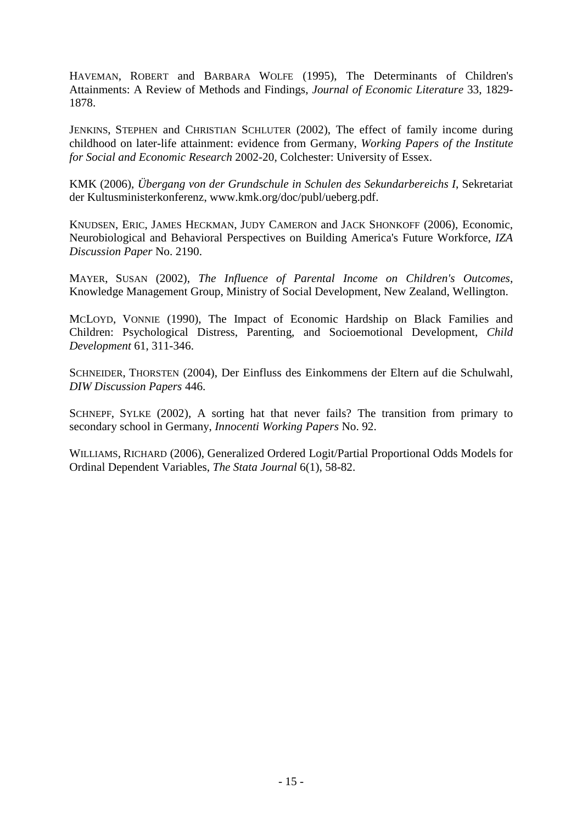HAVEMAN, ROBERT and BARBARA WOLFE (1995), The Determinants of Children's Attainments: A Review of Methods and Findings, *Journal of Economic Literature* 33, 1829- 1878.

JENKINS, STEPHEN and CHRISTIAN SCHLUTER (2002), The effect of family income during childhood on later-life attainment: evidence from Germany, *Working Papers of the Institute for Social and Economic Research* 2002-20, Colchester: University of Essex.

KMK (2006), *Übergang von der Grundschule in Schulen des Sekundarbereichs I*, Sekretariat der Kultusministerkonferenz, www.kmk.org/doc/publ/ueberg.pdf.

KNUDSEN, ERIC, JAMES HECKMAN, JUDY CAMERON and JACK SHONKOFF (2006), Economic, Neurobiological and Behavioral Perspectives on Building America's Future Workforce, *IZA Discussion Paper* No. 2190.

MAYER, SUSAN (2002), *The Influence of Parental Income on Children's Outcomes*, Knowledge Management Group, Ministry of Social Development, New Zealand, Wellington.

MCLOYD, VONNIE (1990), The Impact of Economic Hardship on Black Families and Children: Psychological Distress, Parenting, and Socioemotional Development, *Child Development* 61, 311-346.

SCHNEIDER, THORSTEN (2004), Der Einfluss des Einkommens der Eltern auf die Schulwahl, *DIW Discussion Papers* 446.

SCHNEPF, SYLKE (2002), A sorting hat that never fails? The transition from primary to secondary school in Germany, *Innocenti Working Papers* No. 92.

WILLIAMS, RICHARD (2006), Generalized Ordered Logit/Partial Proportional Odds Models for Ordinal Dependent Variables, *The Stata Journal* 6(1), 58-82.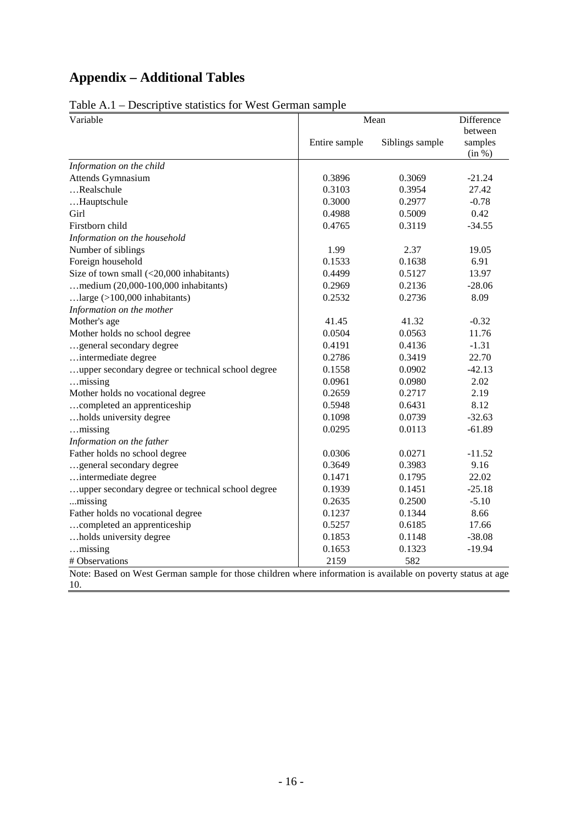# **Appendix – Additional Tables**

| Variable                                                                                                     |               | Mean            | Difference        |
|--------------------------------------------------------------------------------------------------------------|---------------|-----------------|-------------------|
|                                                                                                              |               |                 | between           |
|                                                                                                              | Entire sample | Siblings sample | samples<br>(in %) |
| Information on the child                                                                                     |               |                 |                   |
| Attends Gymnasium                                                                                            | 0.3896        | 0.3069          | $-21.24$          |
| Realschule                                                                                                   | 0.3103        | 0.3954          | 27.42             |
| Hauptschule                                                                                                  | 0.3000        | 0.2977          | $-0.78$           |
| Girl                                                                                                         | 0.4988        | 0.5009          | 0.42              |
| Firstborn child                                                                                              | 0.4765        | 0.3119          | $-34.55$          |
| Information on the household                                                                                 |               |                 |                   |
| Number of siblings                                                                                           | 1.99          | 2.37            | 19.05             |
| Foreign household                                                                                            | 0.1533        | 0.1638          | 6.91              |
| Size of town small $(<20,000$ inhabitants)                                                                   | 0.4499        | 0.5127          | 13.97             |
| medium $(20,000-100,000)$ inhabitants)                                                                       | 0.2969        | 0.2136          | $-28.06$          |
| large $(>100,000$ inhabitants)                                                                               | 0.2532        | 0.2736          | 8.09              |
| Information on the mother                                                                                    |               |                 |                   |
| Mother's age                                                                                                 | 41.45         | 41.32           | $-0.32$           |
| Mother holds no school degree                                                                                | 0.0504        | 0.0563          | 11.76             |
| general secondary degree                                                                                     | 0.4191        | 0.4136          | $-1.31$           |
| intermediate degree                                                                                          | 0.2786        | 0.3419          | 22.70             |
| upper secondary degree or technical school degree                                                            | 0.1558        | 0.0902          | $-42.13$          |
| missing                                                                                                      | 0.0961        | 0.0980          | 2.02              |
| Mother holds no vocational degree                                                                            | 0.2659        | 0.2717          | 2.19              |
| completed an apprenticeship                                                                                  | 0.5948        | 0.6431          | 8.12              |
| holds university degree                                                                                      | 0.1098        | 0.0739          | $-32.63$          |
| $$ missing                                                                                                   | 0.0295        | 0.0113          | $-61.89$          |
| Information on the father                                                                                    |               |                 |                   |
| Father holds no school degree                                                                                | 0.0306        | 0.0271          | $-11.52$          |
| general secondary degree                                                                                     | 0.3649        | 0.3983          | 9.16              |
| intermediate degree                                                                                          | 0.1471        | 0.1795          | 22.02             |
| upper secondary degree or technical school degree                                                            | 0.1939        | 0.1451          | $-25.18$          |
| missing                                                                                                      | 0.2635        | 0.2500          | $-5.10$           |
| Father holds no vocational degree                                                                            | 0.1237        | 0.1344          | 8.66              |
| completed an apprenticeship                                                                                  | 0.5257        | 0.6185          | 17.66             |
| holds university degree                                                                                      | 0.1853        | 0.1148          | $-38.08$          |
| $\dots$ missing                                                                                              | 0.1653        | 0.1323          | $-19.94$          |
| # Observations                                                                                               | 2159          | 582             |                   |
| Note: Based on West German sample for those children where information is available on poverty status at age |               |                 |                   |
| 10.                                                                                                          |               |                 |                   |

| Table A.1 – Descriptive statistics for West German sample |  |  |  |
|-----------------------------------------------------------|--|--|--|
|-----------------------------------------------------------|--|--|--|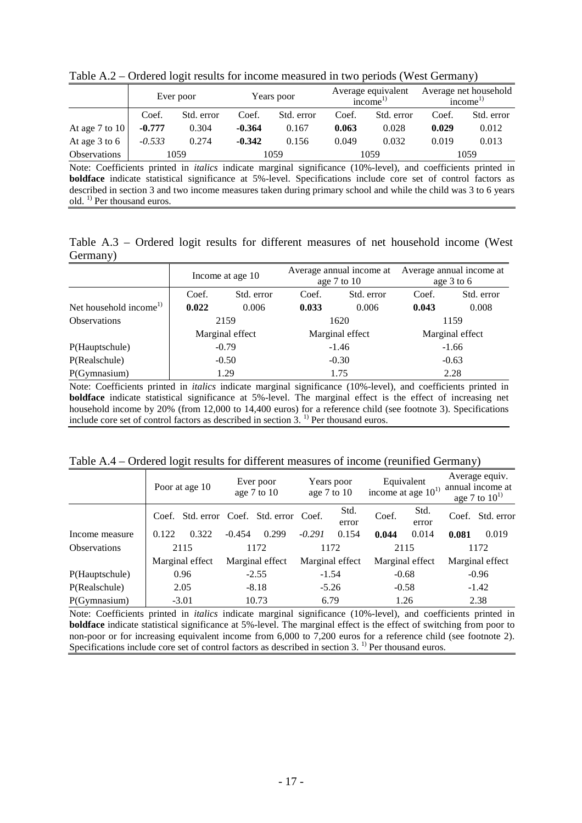Table A.2 – Ordered logit results for income measured in two periods (West Germany)

|                     | Ever poor |            |          | Years poor |       | Average equivalent<br>income <sup>1</sup> |       | Average net household<br>income <sup>1</sup> |  |
|---------------------|-----------|------------|----------|------------|-------|-------------------------------------------|-------|----------------------------------------------|--|
|                     | Coef.     | Std. error | Coef.    | Std. error | Coef. | Std. error                                | Coef. | Std. error                                   |  |
| At age 7 to $10$    | $-0.777$  | 0.304      | $-0.364$ | 0.167      | 0.063 | 0.028                                     | 0.029 | 0.012                                        |  |
| At age $3$ to $6$   | $-0.533$  | 0.274      | $-0.342$ | 0.156      | 0.049 | 0.032                                     | 0.019 | 0.013                                        |  |
| <b>Observations</b> |           | 1059       |          | 1059       |       | 1059                                      |       | 1059                                         |  |

Note: Coefficients printed in *italics* indicate marginal significance (10%-level), and coefficients printed in **boldface** indicate statistical significance at 5%-level. Specifications include core set of control factors as described in section 3 and two income measures taken during primary school and while the child was 3 to 6 years old. 1) Per thousand euros.

Table A.3 – Ordered logit results for different measures of net household income (West Germany)

|                                    | Income at age 10 |                 |       | Average annual income at<br>age $7$ to $10$ | Average annual income at<br>age $3$ to $6$ |                 |  |
|------------------------------------|------------------|-----------------|-------|---------------------------------------------|--------------------------------------------|-----------------|--|
|                                    | Coef.            | Std. error      | Coef. | Std. error                                  | Coef.                                      | Std. error      |  |
| Net household income <sup>1)</sup> | 0.022            | 0.006           | 0.033 | 0.006                                       | 0.043                                      | 0.008           |  |
| <b>Observations</b>                | 2159             |                 |       | 1620                                        |                                            | 1159            |  |
|                                    |                  | Marginal effect |       | Marginal effect                             |                                            | Marginal effect |  |
| P(Hauptschule)                     |                  | $-0.79$         |       | $-1.46$                                     | $-1.66$                                    |                 |  |
| P(Realschule)                      | $-0.50$          |                 |       | $-0.30$                                     | $-0.63$                                    |                 |  |
| P(Gymnasium)                       |                  | 1.29            |       | 1.75                                        | 2.28                                       |                 |  |

Note: Coefficients printed in *italics* indicate marginal significance (10%-level), and coefficients printed in **boldface** indicate statistical significance at 5%-level. The marginal effect is the effect of increasing net household income by 20% (from 12,000 to 14,400 euros) for a reference child (see footnote 3). Specifications include core set of control factors as described in section 3. 1) Per thousand euros.

Table A.4 – Ordered logit results for different measures of income (reunified Germany)

|                     | Poor at age 10  |       | Ever poor<br>age 7 to 10 |                                         | Years poor<br>age $7$ to $10$ |               | Equivalent<br>income at age $10^{1}$ |               | Average equiv.<br>annual income at<br>age 7 to $10^{1}$ |            |
|---------------------|-----------------|-------|--------------------------|-----------------------------------------|-------------------------------|---------------|--------------------------------------|---------------|---------------------------------------------------------|------------|
|                     |                 |       |                          | Coef. Std. error Coef. Std. error Coef. |                               | Std.<br>error | Coef.                                | Std.<br>error | Coef.                                                   | Std. error |
| Income measure      | 0.122           | 0.322 | $-0.454$                 | 0.299                                   | $-0.291$                      | 0.154         | 0.044                                | 0.014         | 0.081                                                   | 0.019      |
| <b>Observations</b> | 2115            |       | 1172                     |                                         | 1172                          |               | 2115                                 |               | 1172                                                    |            |
|                     | Marginal effect |       | Marginal effect          |                                         | Marginal effect               |               | Marginal effect                      |               | Marginal effect                                         |            |
| P(Hauptschule)      | 0.96            |       | $-2.55$                  |                                         | $-1.54$                       |               | $-0.68$                              |               | $-0.96$                                                 |            |
| P(Realschule)       | 2.05            |       | $-8.18$                  |                                         | $-5.26$                       |               | $-0.58$                              |               | $-1.42$                                                 |            |
| P(Gymnasium)        | $-3.01$         |       | 10.73                    |                                         | 6.79                          |               | 1.26                                 |               | 2.38                                                    |            |

Note: Coefficients printed in *italics* indicate marginal significance (10%-level), and coefficients printed in **boldface** indicate statistical significance at 5%-level. The marginal effect is the effect of switching from poor to non-poor or for increasing equivalent income from 6,000 to 7,200 euros for a reference child (see footnote 2). Specifications include core set of control factors as described in section 3.<sup>1)</sup> Per thousand euros.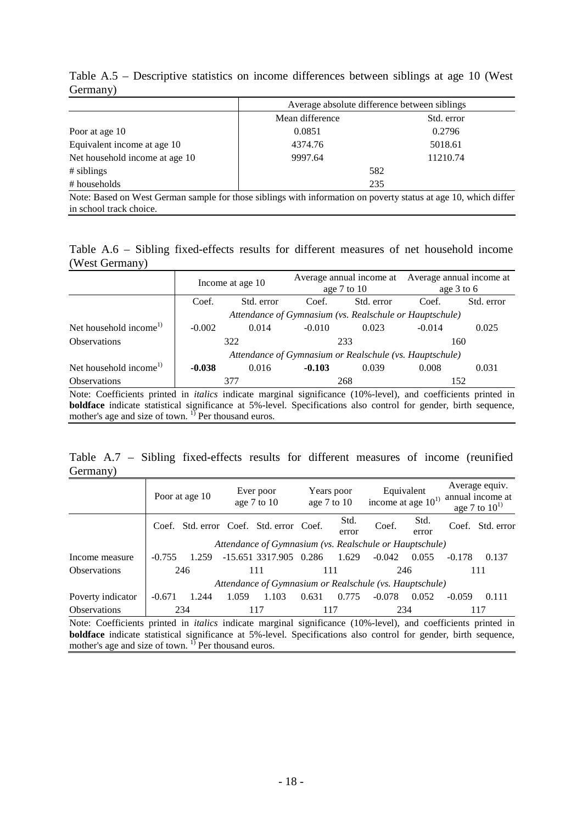|                                                                                                                 | Average absolute difference between siblings |            |  |  |  |  |  |  |
|-----------------------------------------------------------------------------------------------------------------|----------------------------------------------|------------|--|--|--|--|--|--|
|                                                                                                                 | Mean difference                              | Std. error |  |  |  |  |  |  |
| Poor at age 10                                                                                                  | 0.0851                                       | 0.2796     |  |  |  |  |  |  |
| Equivalent income at age 10                                                                                     | 4374.76                                      | 5018.61    |  |  |  |  |  |  |
| Net household income at age 10                                                                                  | 9997.64                                      | 11210.74   |  |  |  |  |  |  |
| # siblings<br>582                                                                                               |                                              |            |  |  |  |  |  |  |
| # households                                                                                                    | 235                                          |            |  |  |  |  |  |  |
| Note: Based on West German sample for those siblings with information on poverty status at age 10, which differ |                                              |            |  |  |  |  |  |  |

Table A.5 – Descriptive statistics on income differences between siblings at age 10 (West Germany)

in school track choice.

Table A.6 – Sibling fixed-effects results for different measures of net household income (West Germany)

|                                                                                                                     |                     | Income at age 10                                        |          | age $7$ to $10$ | Average annual income at Average annual income at<br>age $3$ to $6$ |            |  |
|---------------------------------------------------------------------------------------------------------------------|---------------------|---------------------------------------------------------|----------|-----------------|---------------------------------------------------------------------|------------|--|
|                                                                                                                     | Coef.<br>Std. error |                                                         | Coef.    | Std. error      | Coef.                                                               | Std. error |  |
|                                                                                                                     |                     | Attendance of Gymnasium (vs. Realschule or Hauptschule) |          |                 |                                                                     |            |  |
| Net household income <sup>1)</sup>                                                                                  | $-0.002$<br>0.014   |                                                         | $-0.010$ | 0.023           | $-0.014$                                                            | 0.025      |  |
| <b>Observations</b>                                                                                                 |                     | 322                                                     |          | 233             | 160                                                                 |            |  |
|                                                                                                                     |                     | Attendance of Gymnasium or Realschule (vs. Hauptschule) |          |                 |                                                                     |            |  |
| Net household income <sup>1)</sup>                                                                                  | $-0.038$            | 0.016                                                   | $-0.103$ | 0.039           | 0.008                                                               | 0.031      |  |
| <b>Observations</b>                                                                                                 |                     | 377                                                     |          | 268             | 152                                                                 |            |  |
| Note: Coefficients printed in <i>italics</i> indicate marginal significance (10%-level) and coefficients printed in |                     |                                                         |          |                 |                                                                     |            |  |

Note: Coefficients printed in *italics* indicate marginal significance (10%-level), and coefficients printed in **boldface** indicate statistical significance at 5%-level. Specifications also control for gender, birth sequence, mother's age and size of town.  $\overrightarrow{p}$  Per thousand euros.

Table A.7 – Sibling fixed-effects results for different measures of income (reunified Germany)

|                     | Poor at age 10                                                                                                      |       | Ever poor<br>age $7$ to $10$ |                          | Years poor<br>age $7$ to $10$ |               | Equivalent<br>income at age $10^{1}$                    |               | Average equiv.<br>annual income at<br>age 7 to $10^{1}$ |                  |
|---------------------|---------------------------------------------------------------------------------------------------------------------|-------|------------------------------|--------------------------|-------------------------------|---------------|---------------------------------------------------------|---------------|---------------------------------------------------------|------------------|
|                     | Coef. Std. error Coef. Std. error Coef.                                                                             |       |                              |                          |                               | Std.<br>error | Coef.                                                   | Std.<br>error |                                                         | Coef. Std. error |
|                     |                                                                                                                     |       |                              |                          |                               |               | Attendance of Gymnasium (vs. Realschule or Hauptschule) |               |                                                         |                  |
| Income measure      | $-0.755$                                                                                                            | 1.259 |                              | $-15.651$ 3317.905 0.286 |                               | 1.629         | $-0.042$                                                | 0.055         | $-0.178$                                                | 0.137            |
| <b>Observations</b> | 246                                                                                                                 |       | 111                          |                          | 111                           |               | 246                                                     |               | 111                                                     |                  |
|                     | Attendance of Gymnasium or Realschule (vs. Hauptschule)                                                             |       |                              |                          |                               |               |                                                         |               |                                                         |                  |
| Poverty indicator   | $-0.671$                                                                                                            | 1.244 | 1.059                        | 1.103                    | 0.631                         | 0.775         | $-0.078$                                                | 0.052         | $-0.059$                                                | 0.111            |
| <b>Observations</b> | 234                                                                                                                 |       | 117                          |                          | 117                           |               | 234                                                     |               | 117                                                     |                  |
|                     | Note: Coefficients printed in <i>italics</i> indicate marginal significance (10%-level) and coefficients printed in |       |                              |                          |                               |               |                                                         |               |                                                         |                  |

hefficients printed in *italics* indicate marginal significance (10%-level), and coefficients printed in **boldface** indicate statistical significance at 5%-level. Specifications also control for gender, birth sequence, mother's age and size of town.<sup>1)</sup> Per thousand euros.